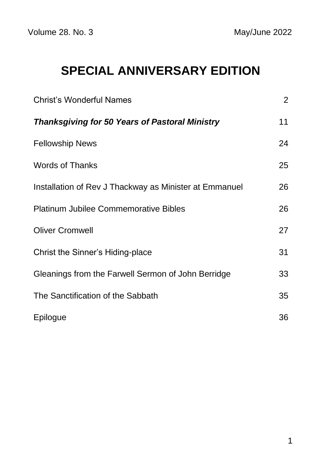# **SPECIAL ANNIVERSARY EDITION**

| <b>Christ's Wonderful Names</b>                        | $\overline{2}$ |
|--------------------------------------------------------|----------------|
| <b>Thanksgiving for 50 Years of Pastoral Ministry</b>  | 11             |
| <b>Fellowship News</b>                                 | 24             |
| <b>Words of Thanks</b>                                 | 25             |
| Installation of Rev J Thackway as Minister at Emmanuel | 26             |
| <b>Platinum Jubilee Commemorative Bibles</b>           | 26             |
| <b>Oliver Cromwell</b>                                 | 27             |
| Christ the Sinner's Hiding-place                       | 31             |
| Gleanings from the Farwell Sermon of John Berridge     | 33             |
| The Sanctification of the Sabbath                      | 35             |
| Epilogue                                               | 36             |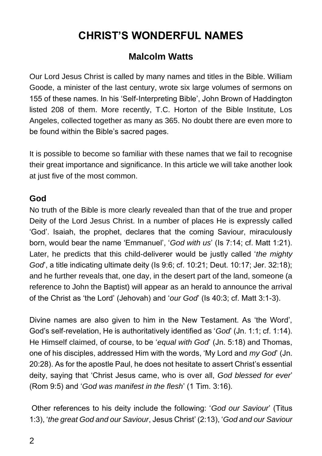# **CHRIST'S WONDERFUL NAMES**

### **Malcolm Watts**

Our Lord Jesus Christ is called by many names and titles in the Bible. William Goode, a minister of the last century, wrote six large volumes of sermons on 155 of these names. In his 'Self-Interpreting Bible', John Brown of Haddington listed 208 of them. More recently, T.C. Horton of the Bible Institute, Los Angeles, collected together as many as 365. No doubt there are even more to be found within the Bible's sacred pages.

It is possible to become so familiar with these names that we fail to recognise their great importance and significance. In this article we will take another look at just five of the most common.

### **God**

No truth of the Bible is more clearly revealed than that of the true and proper Deity of the Lord Jesus Christ. In a number of places He is expressly called 'God'. Isaiah, the prophet, declares that the coming Saviour, miraculously born, would bear the name 'Emmanuel', '*God with us*' (Is 7:14; cf. Matt 1:21). Later, he predicts that this child-deliverer would be justly called '*the mighty God*', a title indicating ultimate deity (Is 9:6; cf. 10:21; Deut. 10:17; Jer. 32:18); and he further reveals that, one day, in the desert part of the land, someone (a reference to John the Baptist) will appear as an herald to announce the arrival of the Christ as 'the Lord' (Jehovah) and '*our God*' (Is 40:3; cf. Matt 3:1-3).

Divine names are also given to him in the New Testament. As 'the Word', God's self-revelation, He is authoritatively identified as '*God*' (Jn. 1:1; cf. 1:14). He Himself claimed, of course, to be '*equal with God*' (Jn. 5:18) and Thomas, one of his disciples, addressed Him with the words, 'My Lord and *my God*' (Jn. 20:28). As for the apostle Paul, he does not hesitate to assert Christ's essential deity, saying that 'Christ Jesus came, who is over all, *God blessed for ever*' (Rom 9:5) and '*God was manifest in the flesh*' (1 Tim. 3:16).

Other references to his deity include the following: '*God our Saviour*' (Titus 1:3), '*the great God and our Saviour*, Jesus Christ' (2:13), '*God and our Saviour*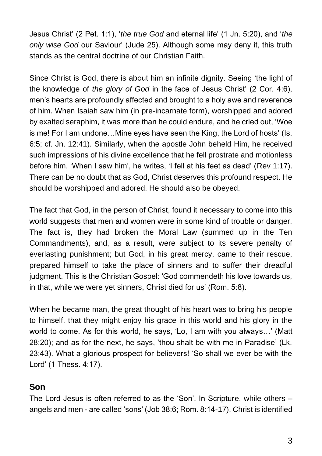Jesus Christ' (2 Pet. 1:1), '*the true God* and eternal life' (1 Jn. 5:20), and '*the only wise God* our Saviour' (Jude 25). Although some may deny it, this truth stands as the central doctrine of our Christian Faith.

Since Christ is God, there is about him an infinite dignity. Seeing 'the light of the knowledge of *the glory of God* in the face of Jesus Christ' (2 Cor. 4:6), men's hearts are profoundly affected and brought to a holy awe and reverence of him. When Isaiah saw him (in pre-incarnate form), worshipped and adored by exalted seraphim, it was more than he could endure, and he cried out, 'Woe is me! For I am undone…Mine eyes have seen the King, the Lord of hosts' (Is. 6:5; cf. Jn. 12:41). Similarly, when the apostle John beheld Him, he received such impressions of his divine excellence that he fell prostrate and motionless before him. 'When I saw him', he writes, 'I fell at his feet as dead' (Rev 1:17). There can be no doubt that as God, Christ deserves this profound respect. He should be worshipped and adored. He should also be obeyed.

The fact that God, in the person of Christ, found it necessary to come into this world suggests that men and women were in some kind of trouble or danger. The fact is, they had broken the Moral Law (summed up in the Ten Commandments), and, as a result, were subject to its severe penalty of everlasting punishment; but God, in his great mercy, came to their rescue, prepared himself to take the place of sinners and to suffer their dreadful judgment. This is the Christian Gospel: 'God commendeth his love towards us, in that, while we were yet sinners, Christ died for us' (Rom. 5:8).

When he became man, the great thought of his heart was to bring his people to himself, that they might enjoy his grace in this world and his glory in the world to come. As for this world, he says, 'Lo, I am with you always…' (Matt 28:20); and as for the next, he says, 'thou shalt be with me in Paradise' (Lk. 23:43). What a glorious prospect for believers! 'So shall we ever be with the Lord' (1 Thess. 4:17).

### **Son**

The Lord Jesus is often referred to as the 'Son'. In Scripture, while others – angels and men - are called 'sons' (Job 38:6; Rom. 8:14-17), Christ is identified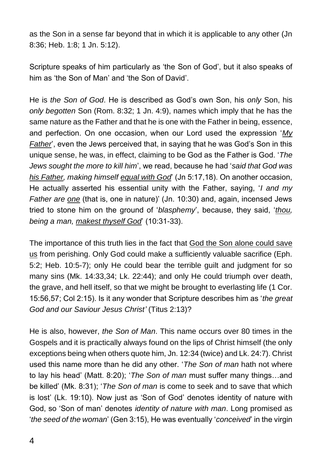as the Son in a sense far beyond that in which it is applicable to any other (Jn 8:36; Heb. 1:8; 1 Jn. 5:12).

Scripture speaks of him particularly as 'the Son of God', but it also speaks of him as 'the Son of Man' and 'the Son of David'.

He is *the Son of God*. He is described as God's own Son, his *only* Son, his *only begotten* Son (Rom. 8:32; 1 Jn. 4:9), names which imply that he has the same nature as the Father and that he is one with the Father in being, essence, and perfection. On one occasion, when our Lord used the expression '*My Father*', even the Jews perceived that, in saying that he was God's Son in this unique sense, he was, in effect, claiming to be God as the Father is God. '*The Jews sought the more to kill him*', we read, because he had '*said that God was his Father, making himself equal with God*' (Jn 5:17,18). On another occasion, He actually asserted his essential unity with the Father, saying, '*I and my Father are one* (that is, one in nature)' (Jn. 10:30) and, again, incensed Jews tried to stone him on the ground of '*blasphemy*', because, they said, '*thou, being a man, makest thyself God*' (10:31-33).

The importance of this truth lies in the fact that God the Son alone could save us from perishing. Only God could make a sufficiently valuable sacrifice (Eph. 5:2; Heb. 10:5-7); only He could bear the terrible guilt and judgment for so many sins (Mk. 14:33,34; Lk. 22:44); and only He could triumph over death, the grave, and hell itself, so that we might be brought to everlasting life (1 Cor. 15:56,57; Col 2:15). Is it any wonder that Scripture describes him as '*the great God and our Saviour Jesus Christ'* (Titus 2:13)?

He is also, however, *the Son of Man*. This name occurs over 80 times in the Gospels and it is practically always found on the lips of Christ himself (the only exceptions being when others quote him, Jn. 12:34 (twice) and Lk. 24:7). Christ used this name more than he did any other. '*The Son of man* hath not where to lay his head' (Matt. 8:20); '*The Son of man* must suffer many things…and be killed' (Mk. 8:31); '*The Son of man* is come to seek and to save that which is lost' (Lk. 19:10). Now just as 'Son of God' denotes identity of nature with God, so 'Son of man' denotes *identity of nature with man*. Long promised as '*the seed of the woman*' (Gen 3:15), He was eventually '*conceived*' in the virgin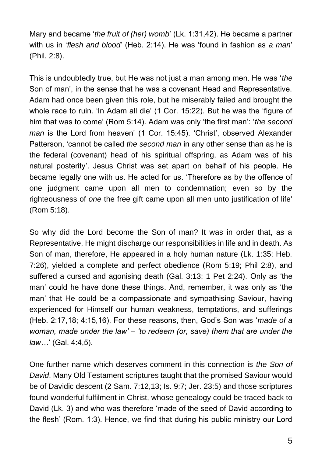Mary and became '*the fruit of (her) womb*' (Lk. 1:31,42). He became a partner with us in '*flesh and blood*' (Heb. 2:14). He was 'found in fashion as *a man*' (Phil. 2:8).

This is undoubtedly true, but He was not just a man among men. He was '*the* Son of man', in the sense that he was a covenant Head and Representative. Adam had once been given this role, but he miserably failed and brought the whole race to ruin. 'In Adam all die' (1 Cor. 15:22). But he was the 'figure of him that was to come' (Rom 5:14). Adam was only 'the first man': '*the second man* is the Lord from heaven' (1 Cor. 15:45). 'Christ', observed Alexander Patterson, 'cannot be called *the second man* in any other sense than as he is the federal (covenant) head of his spiritual offspring, as Adam was of his natural posterity'. Jesus Christ was set apart on behalf of his people. He became legally one with us. He acted for us. 'Therefore as by the offence of one judgment came upon all men to condemnation; even so by the righteousness of *one* the free gift came upon all men unto justification of life' (Rom 5:18).

So why did the Lord become the Son of man? It was in order that, as a Representative, He might discharge our responsibilities in life and in death. As Son of man, therefore, He appeared in a holy human nature (Lk. 1:35; Heb. 7:26), yielded a complete and perfect obedience (Rom 5:19; Phil 2:8), and suffered a cursed and agonising death (Gal. 3:13; 1 Pet 2:24). Only as 'the man' could he have done these things. And, remember, it was only as 'the man' that He could be a compassionate and sympathising Saviour, having experienced for Himself our human weakness, temptations, and sufferings (Heb. 2:17,18; 4:15,16). For these reasons, then, God's Son was '*made of a woman, made under the law' – 'to redeem (or, save) them that are under the law…*' (Gal. 4:4,5).

One further name which deserves comment in this connection is *the Son of David*. Many Old Testament scriptures taught that the promised Saviour would be of Davidic descent (2 Sam. 7:12,13; Is. 9:7; Jer. 23:5) and those scriptures found wonderful fulfilment in Christ, whose genealogy could be traced back to David (Lk. 3) and who was therefore 'made of the seed of David according to the flesh' (Rom. 1:3). Hence, we find that during his public ministry our Lord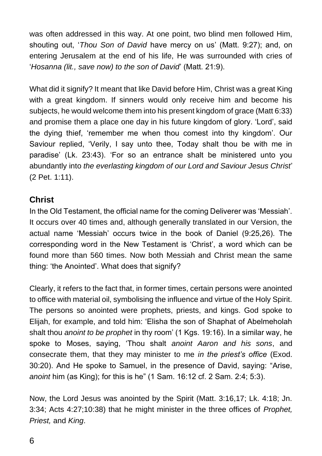was often addressed in this way. At one point, two blind men followed Him, shouting out, '*Thou Son of David* have mercy on us' (Matt. 9:27); and, on entering Jerusalem at the end of his life, He was surrounded with cries of '*Hosanna (lit., save now) to the son of David*' (Matt. 21:9).

What did it signify? It meant that like David before Him, Christ was a great King with a great kingdom. If sinners would only receive him and become his subjects, he would welcome them into his present kingdom of grace (Matt 6:33) and promise them a place one day in his future kingdom of glory. 'Lord', said the dying thief, 'remember me when thou comest into thy kingdom'. Our Saviour replied, 'Verily, I say unto thee, Today shalt thou be with me in paradise' (Lk. 23:43). 'For so an entrance shalt be ministered unto you abundantly into *the everlasting kingdom of our Lord and Saviour Jesus Christ*' (2 Pet. 1:11).

### **Christ**

In the Old Testament, the official name for the coming Deliverer was 'Messiah'. It occurs over 40 times and, although generally translated in our Version, the actual name 'Messiah' occurs twice in the book of Daniel (9:25,26). The corresponding word in the New Testament is 'Christ', a word which can be found more than 560 times. Now both Messiah and Christ mean the same thing: 'the Anointed'. What does that signify?

Clearly, it refers to the fact that, in former times, certain persons were anointed to office with material oil, symbolising the influence and virtue of the Holy Spirit. The persons so anointed were prophets, priests, and kings. God spoke to Elijah, for example, and told him: 'Elisha the son of Shaphat of Abelmeholah shalt thou *anoint to be prophet* in thy room' (1 Kgs. 19:16). In a similar way, he spoke to Moses, saying, 'Thou shalt *anoint Aaron and his sons*, and consecrate them, that they may minister to me *in the priest's office* (Exod. 30:20). And He spoke to Samuel, in the presence of David, saying: "Arise, *anoint* him (as King); for this is he" (1 Sam. 16:12 cf. 2 Sam. 2:4; 5:3).

Now, the Lord Jesus was anointed by the Spirit (Matt. 3:16,17; Lk. 4:18; Jn. 3:34; Acts 4:27;10:38) that he might minister in the three offices of *Prophet, Priest,* and *King*.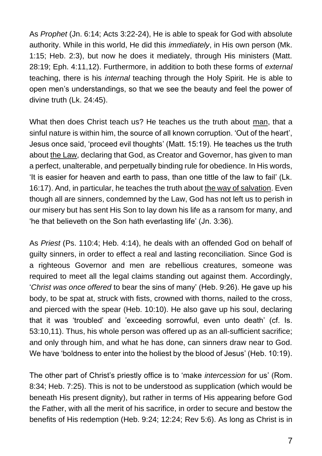As *Prophet* (Jn. 6:14; Acts 3:22-24), He is able to speak for God with absolute authority. While in this world, He did this *immediately*, in His own person (Mk. 1:15; Heb. 2:3), but now he does it mediately, through His ministers (Matt. 28:19; Eph. 4:11,12). Furthermore, in addition to both these forms of *external* teaching, there is his *internal* teaching through the Holy Spirit. He is able to open men's understandings, so that we see the beauty and feel the power of divine truth (Lk. 24:45).

What then does Christ teach us? He teaches us the truth about man, that a sinful nature is within him, the source of all known corruption. 'Out of the heart', Jesus once said, 'proceed evil thoughts' (Matt. 15:19). He teaches us the truth about the Law, declaring that God, as Creator and Governor, has given to man a perfect, unalterable, and perpetually binding rule for obedience. In His words, 'It is easier for heaven and earth to pass, than one tittle of the law to fail' (Lk. 16:17). And, in particular, he teaches the truth about the way of salvation. Even though all are sinners, condemned by the Law, God has not left us to perish in our misery but has sent His Son to lay down his life as a ransom for many, and 'he that believeth on the Son hath everlasting life' (Jn. 3:36).

As *Priest* (Ps. 110:4; Heb. 4:14), he deals with an offended God on behalf of guilty sinners, in order to effect a real and lasting reconciliation. Since God is a righteous Governor and men are rebellious creatures, someone was required to meet all the legal claims standing out against them. Accordingly, '*Christ was once offered* to bear the sins of many' (Heb. 9:26). He gave up his body, to be spat at, struck with fists, crowned with thorns, nailed to the cross, and pierced with the spear (Heb. 10:10). He also gave up his soul, declaring that it was 'troubled' and 'exceeding sorrowful, even unto death' (cf. Is. 53:10,11). Thus, his whole person was offered up as an all-sufficient sacrifice; and only through him, and what he has done, can sinners draw near to God. We have 'boldness to enter into the holiest by the blood of Jesus' (Heb. 10:19).

The other part of Christ's priestly office is to 'make *intercession* for us' (Rom. 8:34; Heb. 7:25). This is not to be understood as supplication (which would be beneath His present dignity), but rather in terms of His appearing before God the Father, with all the merit of his sacrifice, in order to secure and bestow the benefits of His redemption (Heb. 9:24; 12:24; Rev 5:6). As long as Christ is in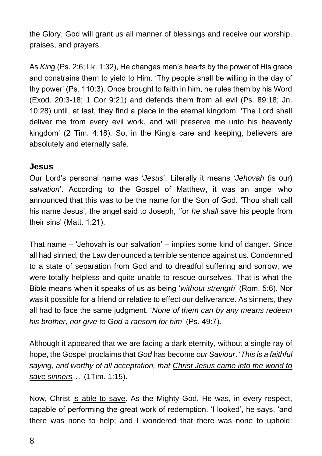the Glory, God will grant us all manner of blessings and receive our worship, praises, and prayers.

As *King* (Ps. 2:6; Lk. 1:32), He changes men's hearts by the power of His grace and constrains them to yield to Him. 'Thy people shall be willing in the day of thy power' (Ps. 110:3). Once brought to faith in him, he rules them by his Word (Exod. 20:3-18; 1 Cor 9:21) and defends them from all evil (Ps. 89:18; Jn. 10:28) until, at last, they find a place in the eternal kingdom. 'The Lord shall deliver me from every evil work, and will preserve me unto his heavenly kingdom' (2 Tim. 4:18). So, in the King's care and keeping, believers are absolutely and eternally safe.

#### **Jesus**

Our Lord's personal name was '*Jesus*'. Literally it means '*Jehovah* (is our) *salvation*'. According to the Gospel of Matthew, it was an angel who announced that this was to be the name for the Son of God. 'Thou shalt call his name Jesus', the angel said to Joseph, 'for *he shall save* his people from their sins' (Matt. 1:21).

That name – 'Jehovah is our salvation' – implies some kind of danger. Since all had sinned, the Law denounced a terrible sentence against us. Condemned to a state of separation from God and to dreadful suffering and sorrow, we were totally helpless and quite unable to rescue ourselves. That is what the Bible means when it speaks of us as being '*without strength*' (Rom. 5:6). Nor was it possible for a friend or relative to effect our deliverance. As sinners, they all had to face the same judgment. '*None of them can by any means redeem his brother, nor give to God a ransom for him*' (Ps. 49:7).

Although it appeared that we are facing a dark eternity, without a single ray of hope, the Gospel proclaims that *God* has become *our Saviour*. '*This is a faithful saying, and worthy of all acceptation, that Christ Jesus came into the world to save sinners…*' (1Tim. 1:15).

Now, Christ is able to save. As the Mighty God, He was, in every respect, capable of performing the great work of redemption. 'I looked', he says, 'and there was none to help; and I wondered that there was none to uphold: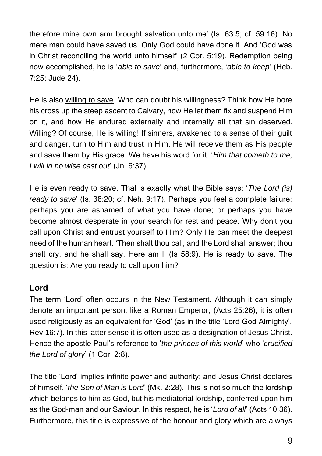therefore mine own arm brought salvation unto me' (Is. 63:5; cf. 59:16). No mere man could have saved us. Only God could have done it. And 'God was in Christ reconciling the world unto himself' (2 Cor. 5:19). Redemption being now accomplished, he is '*able to save*' and, furthermore, '*able to keep*' (Heb. 7:25; Jude 24).

He is also willing to save. Who can doubt his willingness? Think how He bore his cross up the steep ascent to Calvary, how He let them fix and suspend Him on it, and how He endured externally and internally all that sin deserved. Willing? Of course, He is willing! If sinners, awakened to a sense of their guilt and danger, turn to Him and trust in Him, He will receive them as His people and save them by His grace. We have his word for it. '*Him that cometh to me, I will in no wise cast out*' (Jn. 6:37).

He is even ready to save. That is exactly what the Bible says: '*The Lord (is) ready to save*' (Is. 38:20; cf. Neh. 9:17). Perhaps you feel a complete failure; perhaps you are ashamed of what you have done; or perhaps you have become almost desperate in your search for rest and peace. Why don't you call upon Christ and entrust yourself to Him? Only He can meet the deepest need of the human heart. 'Then shalt thou call, and the Lord shall answer; thou shalt cry, and he shall say, Here am I' (Is 58:9). He is ready to save. The question is: Are you ready to call upon him?

### **Lord**

The term 'Lord' often occurs in the New Testament. Although it can simply denote an important person, like a Roman Emperor, (Acts 25:26), it is often used religiously as an equivalent for 'God' (as in the title 'Lord God Almighty', Rev 16:7). In this latter sense it is often used as a designation of Jesus Christ. Hence the apostle Paul's reference to '*the princes of this world*' who '*crucified the Lord of glory*' (1 Cor. 2:8).

The title 'Lord' implies infinite power and authority; and Jesus Christ declares of himself, '*the Son of Man is Lord*' (Mk. 2:28). This is not so much the lordship which belongs to him as God, but his mediatorial lordship, conferred upon him as the God-man and our Saviour. In this respect, he is '*Lord of all*' (Acts 10:36). Furthermore, this title is expressive of the honour and glory which are always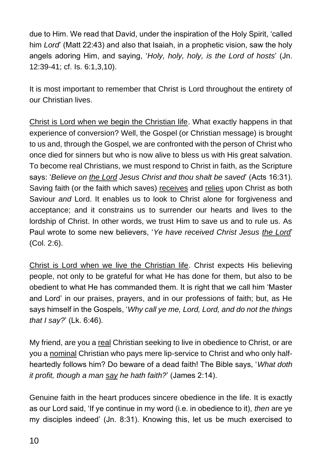due to Him. We read that David, under the inspiration of the Holy Spirit, 'called him *Lord*' (Matt 22:43) and also that Isaiah, in a prophetic vision, saw the holy angels adoring Him, and saying, '*Holy, holy, holy, is the Lord of hosts*' (Jn. 12:39-41; cf. Is. 6:1,3,10).

It is most important to remember that Christ is Lord throughout the entirety of our Christian lives.

Christ is Lord when we begin the Christian life. What exactly happens in that experience of conversion? Well, the Gospel (or Christian message) is brought to us and, through the Gospel, we are confronted with the person of Christ who once died for sinners but who is now alive to bless us with His great salvation. To become real Christians, we must respond to Christ in faith, as the Scripture says: '*Believe on the Lord Jesus Christ and thou shalt be saved*' (Acts 16:31). Saving faith (or the faith which saves) receives and relies upon Christ as both Saviour *and* Lord. It enables us to look to Christ alone for forgiveness and acceptance; and it constrains us to surrender our hearts and lives to the lordship of Christ. In other words, we trust Him to save us and to rule us. As Paul wrote to some new believers, '*Ye have received Christ Jesus the Lord*' (Col. 2:6).

Christ is Lord when we live the Christian life. Christ expects His believing people, not only to be grateful for what He has done for them, but also to be obedient to what He has commanded them. It is right that we call him 'Master and Lord' in our praises, prayers, and in our professions of faith; but, as He says himself in the Gospels, '*Why call ye me, Lord, Lord, and do not the things that I say?*' (Lk. 6:46).

My friend, are you a real Christian seeking to live in obedience to Christ, or are you a nominal Christian who pays mere lip-service to Christ and who only halfheartedly follows him? Do beware of a dead faith! The Bible says, '*What doth it profit, though a man say he hath faith?*' (James 2:14).

Genuine faith in the heart produces sincere obedience in the life. It is exactly as our Lord said, 'If ye continue in my word (i.e. in obedience to it), *then* are ye my disciples indeed' (Jn. 8:31). Knowing this, let us be much exercised to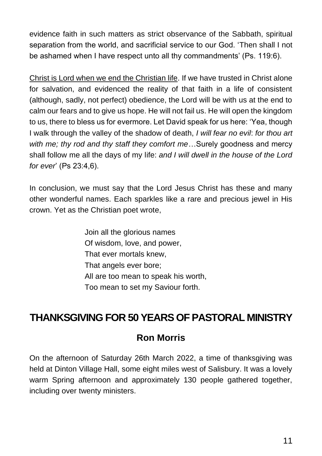evidence faith in such matters as strict observance of the Sabbath, spiritual separation from the world, and sacrificial service to our God. 'Then shall I not be ashamed when I have respect unto all thy commandments' (Ps. 119:6).

Christ is Lord when we end the Christian life. If we have trusted in Christ alone for salvation, and evidenced the reality of that faith in a life of consistent (although, sadly, not perfect) obedience, the Lord will be with us at the end to calm our fears and to give us hope. He will not fail us. He will open the kingdom to us, there to bless us for evermore. Let David speak for us here: 'Yea, though I walk through the valley of the shadow of death, *I will fear no evil*: *for thou art with me; thy rod and thy staff they comfort me*…Surely goodness and mercy shall follow me all the days of my life: *and I will dwell in the house of the Lord for ever*' (Ps 23:4,6).

In conclusion, we must say that the Lord Jesus Christ has these and many other wonderful names. Each sparkles like a rare and precious jewel in His crown. Yet as the Christian poet wrote,

> Join all the glorious names Of wisdom, love, and power, That ever mortals knew, That angels ever bore; All are too mean to speak his worth, Too mean to set my Saviour forth.

### **THANKSGIVING FOR 50 YEARS OF PASTORAL MINISTRY**

### **Ron Morris**

On the afternoon of Saturday 26th March 2022, a time of thanksgiving was held at Dinton Village Hall, some eight miles west of Salisbury. It was a lovely warm Spring afternoon and approximately 130 people gathered together, including over twenty ministers.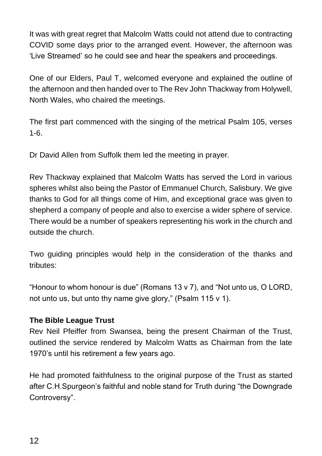It was with great regret that Malcolm Watts could not attend due to contracting COVID some days prior to the arranged event. However, the afternoon was 'Live Streamed' so he could see and hear the speakers and proceedings.

One of our Elders, Paul T, welcomed everyone and explained the outline of the afternoon and then handed over to The Rev John Thackway from Holywell, North Wales, who chaired the meetings.

The first part commenced with the singing of the metrical Psalm 105, verses 1-6.

Dr David Allen from Suffolk them led the meeting in prayer.

Rev Thackway explained that Malcolm Watts has served the Lord in various spheres whilst also being the Pastor of Emmanuel Church, Salisbury. We give thanks to God for all things come of Him, and exceptional grace was given to shepherd a company of people and also to exercise a wider sphere of service. There would be a number of speakers representing his work in the church and outside the church.

Two guiding principles would help in the consideration of the thanks and tributes:

"Honour to whom honour is due" (Romans 13 v 7), and "Not unto us, O LORD, not unto us, but unto thy name give glory," (Psalm 115 v 1).

#### **The Bible League Trust**

Rev Neil Pfeiffer from Swansea, being the present Chairman of the Trust, outlined the service rendered by Malcolm Watts as Chairman from the late 1970's until his retirement a few years ago.

He had promoted faithfulness to the original purpose of the Trust as started after C.H.Spurgeon's faithful and noble stand for Truth during "the Downgrade Controversy".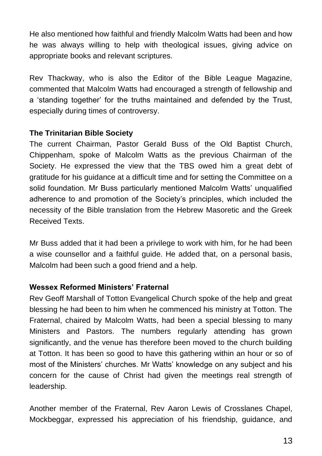He also mentioned how faithful and friendly Malcolm Watts had been and how he was always willing to help with theological issues, giving advice on appropriate books and relevant scriptures.

Rev Thackway, who is also the Editor of the Bible League Magazine, commented that Malcolm Watts had encouraged a strength of fellowship and a 'standing together' for the truths maintained and defended by the Trust, especially during times of controversy.

#### **The Trinitarian Bible Society**

The current Chairman, Pastor Gerald Buss of the Old Baptist Church, Chippenham, spoke of Malcolm Watts as the previous Chairman of the Society. He expressed the view that the TBS owed him a great debt of gratitude for his guidance at a difficult time and for setting the Committee on a solid foundation. Mr Buss particularly mentioned Malcolm Watts' unqualified adherence to and promotion of the Society's principles, which included the necessity of the Bible translation from the Hebrew Masoretic and the Greek Received Texts.

Mr Buss added that it had been a privilege to work with him, for he had been a wise counsellor and a faithful guide. He added that, on a personal basis, Malcolm had been such a good friend and a help.

### **Wessex Reformed Ministers' Fraternal**

Rev Geoff Marshall of Totton Evangelical Church spoke of the help and great blessing he had been to him when he commenced his ministry at Totton. The Fraternal, chaired by Malcolm Watts, had been a special blessing to many Ministers and Pastors. The numbers regularly attending has grown significantly, and the venue has therefore been moved to the church building at Totton. It has been so good to have this gathering within an hour or so of most of the Ministers' churches. Mr Watts' knowledge on any subject and his concern for the cause of Christ had given the meetings real strength of leadership.

Another member of the Fraternal, Rev Aaron Lewis of Crosslanes Chapel, Mockbeggar, expressed his appreciation of his friendship, guidance, and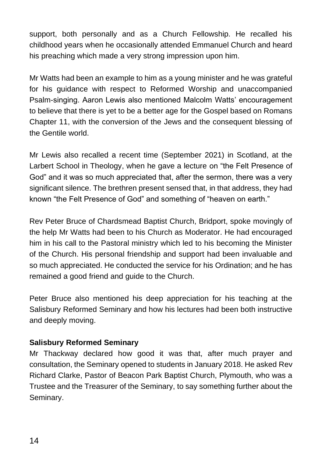support, both personally and as a Church Fellowship. He recalled his childhood years when he occasionally attended Emmanuel Church and heard his preaching which made a very strong impression upon him.

Mr Watts had been an example to him as a young minister and he was grateful for his guidance with respect to Reformed Worship and unaccompanied Psalm-singing. Aaron Lewis also mentioned Malcolm Watts' encouragement to believe that there is yet to be a better age for the Gospel based on Romans Chapter 11, with the conversion of the Jews and the consequent blessing of the Gentile world.

Mr Lewis also recalled a recent time (September 2021) in Scotland, at the Larbert School in Theology, when he gave a lecture on "the Felt Presence of God" and it was so much appreciated that, after the sermon, there was a very significant silence. The brethren present sensed that, in that address, they had known "the Felt Presence of God" and something of "heaven on earth."

Rev Peter Bruce of Chardsmead Baptist Church, Bridport, spoke movingly of the help Mr Watts had been to his Church as Moderator. He had encouraged him in his call to the Pastoral ministry which led to his becoming the Minister of the Church. His personal friendship and support had been invaluable and so much appreciated. He conducted the service for his Ordination; and he has remained a good friend and guide to the Church.

Peter Bruce also mentioned his deep appreciation for his teaching at the Salisbury Reformed Seminary and how his lectures had been both instructive and deeply moving.

### **Salisbury Reformed Seminary**

Mr Thackway declared how good it was that, after much prayer and consultation, the Seminary opened to students in January 2018. He asked Rev Richard Clarke, Pastor of Beacon Park Baptist Church, Plymouth, who was a Trustee and the Treasurer of the Seminary, to say something further about the Seminary.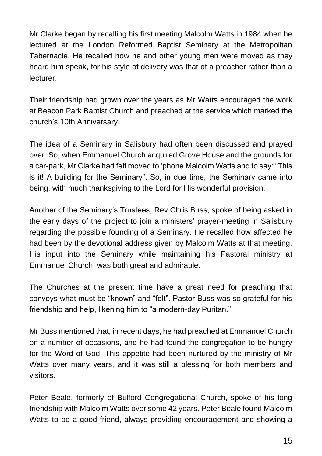Mr Clarke began by recalling his first meeting Malcolm Watts in 1984 when he lectured at the London Reformed Baptist Seminary at the Metropolitan Tabernacle. He recalled how he and other young men were moved as they heard him speak, for his style of delivery was that of a preacher rather than a lecturer.

Their friendship had grown over the years as Mr Watts encouraged the work at Beacon Park Baptist Church and preached at the service which marked the church's 10th Anniversary.

The idea of a Seminary in Salisbury had often been discussed and prayed over. So, when Emmanuel Church acquired Grove House and the grounds for a car-park, Mr Clarke had felt moved to 'phone Malcolm Watts and to say: "This is it! A building for the Seminary". So, in due time, the Seminary came into being, with much thanksgiving to the Lord for His wonderful provision.

Another of the Seminary's Trustees, Rev Chris Buss, spoke of being asked in the early days of the project to join a ministers' prayer-meeting in Salisbury regarding the possible founding of a Seminary. He recalled how affected he had been by the devotional address given by Malcolm Watts at that meeting. His input into the Seminary while maintaining his Pastoral ministry at Emmanuel Church, was both great and admirable.

The Churches at the present time have a great need for preaching that conveys what must be "known" and "felt". Pastor Buss was so grateful for his friendship and help, likening him to "a modern-day Puritan."

Mr Buss mentioned that, in recent days, he had preached at Emmanuel Church on a number of occasions, and he had found the congregation to be hungry for the Word of God. This appetite had been nurtured by the ministry of Mr Watts over many years, and it was still a blessing for both members and visitors.

Peter Beale, formerly of Bulford Congregational Church, spoke of his long friendship with Malcolm Watts over some 42 years. Peter Beale found Malcolm Watts to be a good friend, always providing encouragement and showing a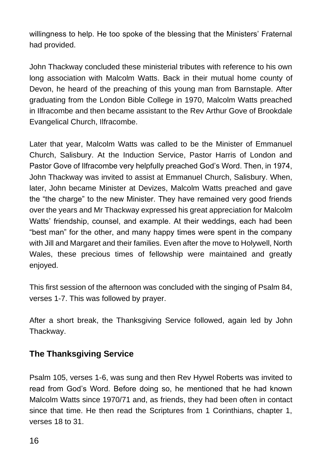willingness to help. He too spoke of the blessing that the Ministers' Fraternal had provided.

John Thackway concluded these ministerial tributes with reference to his own long association with Malcolm Watts. Back in their mutual home county of Devon, he heard of the preaching of this young man from Barnstaple. After graduating from the London Bible College in 1970, Malcolm Watts preached in Ilfracombe and then became assistant to the Rev Arthur Gove of Brookdale Evangelical Church, Ilfracombe.

Later that year, Malcolm Watts was called to be the Minister of Emmanuel Church, Salisbury. At the Induction Service, Pastor Harris of London and Pastor Gove of Ilfracombe very helpfully preached God's Word. Then, in 1974, John Thackway was invited to assist at Emmanuel Church, Salisbury. When, later, John became Minister at Devizes, Malcolm Watts preached and gave the "the charge" to the new Minister. They have remained very good friends over the years and Mr Thackway expressed his great appreciation for Malcolm Watts' friendship, counsel, and example. At their weddings, each had been "best man" for the other, and many happy times were spent in the company with Jill and Margaret and their families. Even after the move to Holywell, North Wales, these precious times of fellowship were maintained and greatly enjoyed.

This first session of the afternoon was concluded with the singing of Psalm 84, verses 1-7. This was followed by prayer.

After a short break, the Thanksgiving Service followed, again led by John Thackway.

### **The Thanksgiving Service**

Psalm 105, verses 1-6, was sung and then Rev Hywel Roberts was invited to read from God's Word. Before doing so, he mentioned that he had known Malcolm Watts since 1970/71 and, as friends, they had been often in contact since that time. He then read the Scriptures from 1 Corinthians, chapter 1, verses 18 to 31.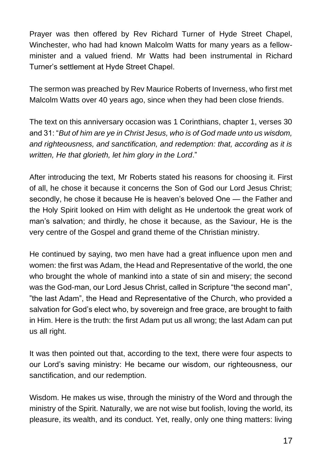Prayer was then offered by Rev Richard Turner of Hyde Street Chapel, Winchester, who had had known Malcolm Watts for many years as a fellowminister and a valued friend. Mr Watts had been instrumental in Richard Turner's settlement at Hyde Street Chapel.

The sermon was preached by Rev Maurice Roberts of Inverness, who first met Malcolm Watts over 40 years ago, since when they had been close friends.

The text on this anniversary occasion was 1 Corinthians, chapter 1, verses 30 and 31: "*But of him are ye in Christ Jesus, who is of God made unto us wisdom, and righteousness, and sanctification, and redemption: that, according as it is written, He that glorieth, let him glory in the Lord*."

After introducing the text, Mr Roberts stated his reasons for choosing it. First of all, he chose it because it concerns the Son of God our Lord Jesus Christ; secondly, he chose it because He is heaven's beloved One — the Father and the Holy Spirit looked on Him with delight as He undertook the great work of man's salvation; and thirdly, he chose it because, as the Saviour, He is the very centre of the Gospel and grand theme of the Christian ministry.

He continued by saying, two men have had a great influence upon men and women: the first was Adam, the Head and Representative of the world, the one who brought the whole of mankind into a state of sin and misery; the second was the God-man, our Lord Jesus Christ, called in Scripture "the second man", "the last Adam", the Head and Representative of the Church, who provided a salvation for God's elect who, by sovereign and free grace, are brought to faith in Him. Here is the truth: the first Adam put us all wrong; the last Adam can put us all right.

It was then pointed out that, according to the text, there were four aspects to our Lord's saving ministry: He became our wisdom, our righteousness, our sanctification, and our redemption.

Wisdom. He makes us wise, through the ministry of the Word and through the ministry of the Spirit. Naturally, we are not wise but foolish, loving the world, its pleasure, its wealth, and its conduct. Yet, really, only one thing matters: living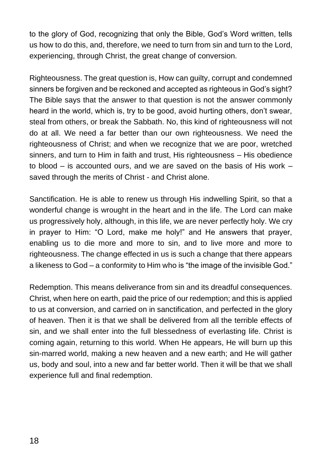to the glory of God, recognizing that only the Bible, God's Word written, tells us how to do this, and, therefore, we need to turn from sin and turn to the Lord, experiencing, through Christ, the great change of conversion.

Righteousness. The great question is, How can guilty, corrupt and condemned sinners be forgiven and be reckoned and accepted as righteous in God's sight? The Bible says that the answer to that question is not the answer commonly heard in the world, which is, try to be good, avoid hurting others, don't swear, steal from others, or break the Sabbath. No, this kind of righteousness will not do at all. We need a far better than our own righteousness. We need the righteousness of Christ; and when we recognize that we are poor, wretched sinners, and turn to Him in faith and trust, His righteousness – His obedience to blood – is accounted ours, and we are saved on the basis of His work – saved through the merits of Christ - and Christ alone.

Sanctification. He is able to renew us through His indwelling Spirit, so that a wonderful change is wrought in the heart and in the life. The Lord can make us progressively holy, although, in this life, we are never perfectly holy. We cry in prayer to Him: "O Lord, make me holy!" and He answers that prayer, enabling us to die more and more to sin, and to live more and more to righteousness. The change effected in us is such a change that there appears a likeness to God – a conformity to Him who is "the image of the invisible God."

Redemption. This means deliverance from sin and its dreadful consequences. Christ, when here on earth, paid the price of our redemption; and this is applied to us at conversion, and carried on in sanctification, and perfected in the glory of heaven. Then it is that we shall be delivered from all the terrible effects of sin, and we shall enter into the full blessedness of everlasting life. Christ is coming again, returning to this world. When He appears, He will burn up this sin-marred world, making a new heaven and a new earth; and He will gather us, body and soul, into a new and far better world. Then it will be that we shall experience full and final redemption.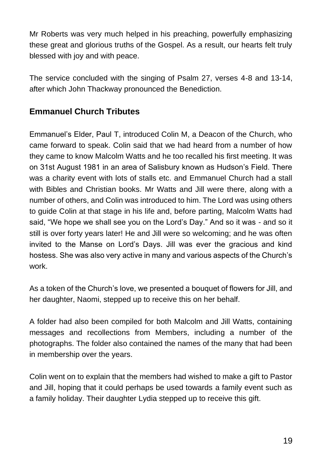Mr Roberts was very much helped in his preaching, powerfully emphasizing these great and glorious truths of the Gospel. As a result, our hearts felt truly blessed with joy and with peace.

The service concluded with the singing of Psalm 27, verses 4-8 and 13-14, after which John Thackway pronounced the Benediction.

### **Emmanuel Church Tributes**

Emmanuel's Elder, Paul T, introduced Colin M, a Deacon of the Church, who came forward to speak. Colin said that we had heard from a number of how they came to know Malcolm Watts and he too recalled his first meeting. It was on 31st August 1981 in an area of Salisbury known as Hudson's Field. There was a charity event with lots of stalls etc. and Emmanuel Church had a stall with Bibles and Christian books. Mr Watts and Jill were there, along with a number of others, and Colin was introduced to him. The Lord was using others to guide Colin at that stage in his life and, before parting, Malcolm Watts had said, "We hope we shall see you on the Lord's Day." And so it was - and so it still is over forty years later! He and Jill were so welcoming; and he was often invited to the Manse on Lord's Days. Jill was ever the gracious and kind hostess. She was also very active in many and various aspects of the Church's work.

As a token of the Church's love, we presented a bouquet of flowers for Jill, and her daughter, Naomi, stepped up to receive this on her behalf.

A folder had also been compiled for both Malcolm and Jill Watts, containing messages and recollections from Members, including a number of the photographs. The folder also contained the names of the many that had been in membership over the years.

Colin went on to explain that the members had wished to make a gift to Pastor and Jill, hoping that it could perhaps be used towards a family event such as a family holiday. Their daughter Lydia stepped up to receive this gift.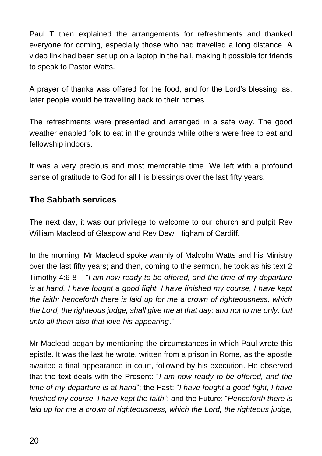Paul T then explained the arrangements for refreshments and thanked everyone for coming, especially those who had travelled a long distance. A video link had been set up on a laptop in the hall, making it possible for friends to speak to Pastor Watts.

A prayer of thanks was offered for the food, and for the Lord's blessing, as, later people would be travelling back to their homes.

The refreshments were presented and arranged in a safe way. The good weather enabled folk to eat in the grounds while others were free to eat and fellowship indoors.

It was a very precious and most memorable time. We left with a profound sense of gratitude to God for all His blessings over the last fifty years.

### **The Sabbath services**

The next day, it was our privilege to welcome to our church and pulpit Rev William Macleod of Glasgow and Rev Dewi Higham of Cardiff.

In the morning, Mr Macleod spoke warmly of Malcolm Watts and his Ministry over the last fifty years; and then, coming to the sermon, he took as his text 2 Timothy 4:6-8 – "*I am now ready to be offered, and the time of my departure is at hand. I have fought a good fight, I have finished my course, I have kept the faith: henceforth there is laid up for me a crown of righteousness, which the Lord, the righteous judge, shall give me at that day: and not to me only, but unto all them also that love his appearing*."

Mr Macleod began by mentioning the circumstances in which Paul wrote this epistle. It was the last he wrote, written from a prison in Rome, as the apostle awaited a final appearance in court, followed by his execution. He observed that the text deals with the Present: "*I am now ready to be offered, and the time of my departure is at hand*"; the Past: "*I have fought a good fight, I have finished my course, I have kept the faith*"; and the Future: "*Henceforth there is*  laid up for me a crown of righteousness, which the Lord, the righteous judge,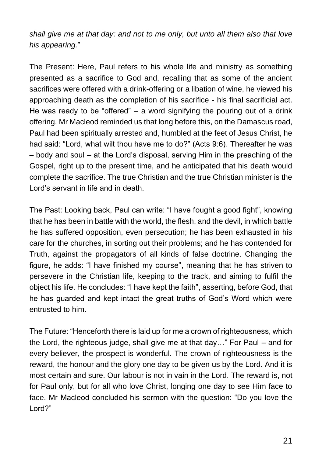*shall give me at that day: and not to me only, but unto all them also that love his appearing.*"

The Present: Here, Paul refers to his whole life and ministry as something presented as a sacrifice to God and, recalling that as some of the ancient sacrifices were offered with a drink-offering or a libation of wine, he viewed his approaching death as the completion of his sacrifice - his final sacrificial act. He was ready to be "offered" – a word signifying the pouring out of a drink offering. Mr Macleod reminded us that long before this, on the Damascus road, Paul had been spiritually arrested and, humbled at the feet of Jesus Christ, he had said: "Lord, what wilt thou have me to do?" (Acts 9:6). Thereafter he was – body and soul – at the Lord's disposal, serving Him in the preaching of the Gospel, right up to the present time, and he anticipated that his death would complete the sacrifice. The true Christian and the true Christian minister is the Lord's servant in life and in death.

The Past: Looking back, Paul can write: "I have fought a good fight", knowing that he has been in battle with the world, the flesh, and the devil, in which battle he has suffered opposition, even persecution; he has been exhausted in his care for the churches, in sorting out their problems; and he has contended for Truth, against the propagators of all kinds of false doctrine. Changing the figure, he adds: "I have finished my course", meaning that he has striven to persevere in the Christian life, keeping to the track, and aiming to fulfil the object his life. He concludes: "I have kept the faith", asserting, before God, that he has guarded and kept intact the great truths of God's Word which were entrusted to him.

The Future: "Henceforth there is laid up for me a crown of righteousness, which the Lord, the righteous judge, shall give me at that day…" For Paul – and for every believer, the prospect is wonderful. The crown of righteousness is the reward, the honour and the glory one day to be given us by the Lord. And it is most certain and sure. Our labour is not in vain in the Lord. The reward is, not for Paul only, but for all who love Christ, longing one day to see Him face to face. Mr Macleod concluded his sermon with the question: "Do you love the Lord?"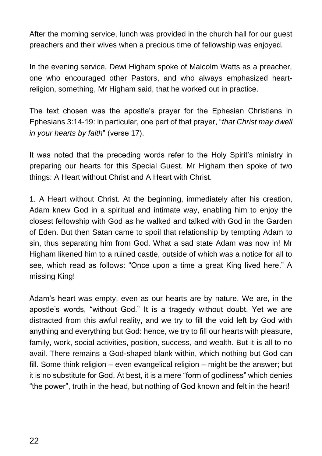After the morning service, lunch was provided in the church hall for our guest preachers and their wives when a precious time of fellowship was enjoyed.

In the evening service, Dewi Higham spoke of Malcolm Watts as a preacher, one who encouraged other Pastors, and who always emphasized heartreligion, something, Mr Higham said, that he worked out in practice.

The text chosen was the apostle's prayer for the Ephesian Christians in Ephesians 3:14-19: in particular, one part of that prayer, "*that Christ may dwell in your hearts by faith*" (verse 17).

It was noted that the preceding words refer to the Holy Spirit's ministry in preparing our hearts for this Special Guest. Mr Higham then spoke of two things: A Heart without Christ and A Heart with Christ.

1. A Heart without Christ. At the beginning, immediately after his creation, Adam knew God in a spiritual and intimate way, enabling him to enjoy the closest fellowship with God as he walked and talked with God in the Garden of Eden. But then Satan came to spoil that relationship by tempting Adam to sin, thus separating him from God. What a sad state Adam was now in! Mr Higham likened him to a ruined castle, outside of which was a notice for all to see, which read as follows: "Once upon a time a great King lived here." A missing King!

Adam's heart was empty, even as our hearts are by nature. We are, in the apostle's words, "without God." It is a tragedy without doubt. Yet we are distracted from this awful reality, and we try to fill the void left by God with anything and everything but God: hence, we try to fill our hearts with pleasure, family, work, social activities, position, success, and wealth. But it is all to no avail. There remains a God-shaped blank within, which nothing but God can fill. Some think religion – even evangelical religion – might be the answer; but it is no substitute for God. At best, it is a mere "form of godliness" which denies "the power", truth in the head, but nothing of God known and felt in the heart!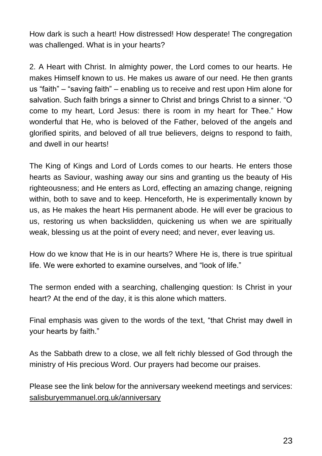How dark is such a heart! How distressed! How desperate! The congregation was challenged. What is in your hearts?

2. A Heart with Christ. In almighty power, the Lord comes to our hearts. He makes Himself known to us. He makes us aware of our need. He then grants us "faith" – "saving faith" – enabling us to receive and rest upon Him alone for salvation. Such faith brings a sinner to Christ and brings Christ to a sinner. "O come to my heart, Lord Jesus: there is room in my heart for Thee." How wonderful that He, who is beloved of the Father, beloved of the angels and glorified spirits, and beloved of all true believers, deigns to respond to faith, and dwell in our hearts!

The King of Kings and Lord of Lords comes to our hearts. He enters those hearts as Saviour, washing away our sins and granting us the beauty of His righteousness; and He enters as Lord, effecting an amazing change, reigning within, both to save and to keep. Henceforth, He is experimentally known by us, as He makes the heart His permanent abode. He will ever be gracious to us, restoring us when backslidden, quickening us when we are spiritually weak, blessing us at the point of every need; and never, ever leaving us.

How do we know that He is in our hearts? Where He is, there is true spiritual life. We were exhorted to examine ourselves, and "look of life."

The sermon ended with a searching, challenging question: Is Christ in your heart? At the end of the day, it is this alone which matters.

Final emphasis was given to the words of the text, "that Christ may dwell in your hearts by faith."

As the Sabbath drew to a close, we all felt richly blessed of God through the ministry of His precious Word. Our prayers had become our praises.

Please see the link below for the anniversary weekend meetings and services: salisburyemmanuel.org.uk/anniversary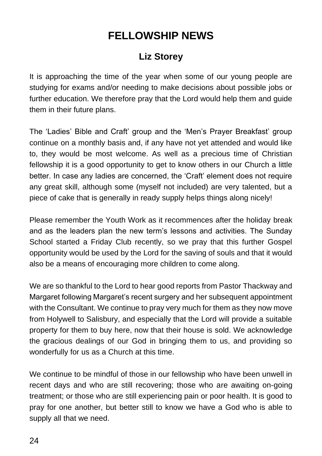## **FELLOWSHIP NEWS**

### **Liz Storey**

It is approaching the time of the year when some of our young people are studying for exams and/or needing to make decisions about possible jobs or further education. We therefore pray that the Lord would help them and guide them in their future plans.

The 'Ladies' Bible and Craft' group and the 'Men's Prayer Breakfast' group continue on a monthly basis and, if any have not yet attended and would like to, they would be most welcome. As well as a precious time of Christian fellowship it is a good opportunity to get to know others in our Church a little better. In case any ladies are concerned, the 'Craft' element does not require any great skill, although some (myself not included) are very talented, but a piece of cake that is generally in ready supply helps things along nicely!

Please remember the Youth Work as it recommences after the holiday break and as the leaders plan the new term's lessons and activities. The Sunday School started a Friday Club recently, so we pray that this further Gospel opportunity would be used by the Lord for the saving of souls and that it would also be a means of encouraging more children to come along.

We are so thankful to the Lord to hear good reports from Pastor Thackway and Margaret following Margaret's recent surgery and her subsequent appointment with the Consultant. We continue to pray very much for them as they now move from Holywell to Salisbury, and especially that the Lord will provide a suitable property for them to buy here, now that their house is sold. We acknowledge the gracious dealings of our God in bringing them to us, and providing so wonderfully for us as a Church at this time.

We continue to be mindful of those in our fellowship who have been unwell in recent days and who are still recovering; those who are awaiting on-going treatment; or those who are still experiencing pain or poor health. It is good to pray for one another, but better still to know we have a God who is able to supply all that we need.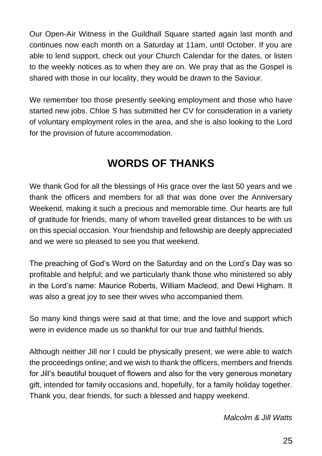Our Open-Air Witness in the Guildhall Square started again last month and continues now each month on a Saturday at 11am, until October. If you are able to lend support, check out your Church Calendar for the dates, or listen to the weekly notices as to when they are on. We pray that as the Gospel is shared with those in our locality, they would be drawn to the Saviour.

We remember too those presently seeking employment and those who have started new jobs. Chloe S has submitted her CV for consideration in a variety of voluntary employment roles in the area, and she is also looking to the Lord for the provision of future accommodation.

# **WORDS OF THANKS**

We thank God for all the blessings of His grace over the last 50 years and we thank the officers and members for all that was done over the Anniversary Weekend, making it such a precious and memorable time. Our hearts are full of gratitude for friends, many of whom travelled great distances to be with us on this special occasion. Your friendship and fellowship are deeply appreciated and we were so pleased to see you that weekend.

The preaching of God's Word on the Saturday and on the Lord's Day was so profitable and helpful; and we particularly thank those who ministered so ably in the Lord's name: Maurice Roberts, William Macleod, and Dewi Higham. It was also a great joy to see their wives who accompanied them.

So many kind things were said at that time; and the love and support which were in evidence made us so thankful for our true and faithful friends.

Although neither Jill nor I could be physically present, we were able to watch the proceedings online; and we wish to thank the officers, members and friends for Jill's beautiful bouquet of flowers and also for the very generous monetary gift, intended for family occasions and, hopefully, for a family holiday together. Thank you, dear friends, for such a blessed and happy weekend.

*Malcolm & Jill Watts*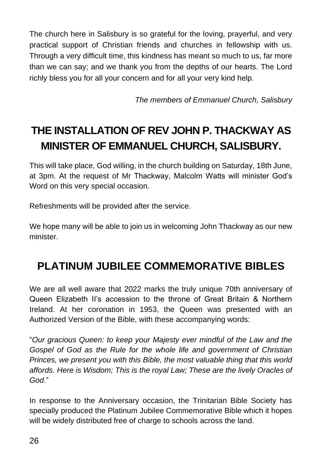The church here in Salisbury is so grateful for the loving, prayerful, and very practical support of Christian friends and churches in fellowship with us. Through a very difficult time, this kindness has meant so much to us, far more than we can say; and we thank you from the depths of our hearts. The Lord richly bless you for all your concern and for all your very kind help.

*The members of Emmanuel Church, Salisbury*

# **THE INSTALLATION OF REV JOHN P. THACKWAY AS MINISTER OF EMMANUEL CHURCH, SALISBURY.**

This will take place, God willing, in the church building on Saturday, 18th June, at 3pm. At the request of Mr Thackway, Malcolm Watts will minister God's Word on this very special occasion.

Refreshments will be provided after the service.

We hope many will be able to join us in welcoming John Thackway as our new minister.

## **PLATINUM JUBILEE COMMEMORATIVE BIBLES**

We are all well aware that 2022 marks the truly unique 70th anniversary of Queen Elizabeth II's accession to the throne of Great Britain & Northern Ireland. At her coronation in 1953, the Queen was presented with an Authorized Version of the Bible, with these accompanying words:

"*Our gracious Queen: to keep your Majesty ever mindful of the Law and the Gospel of God as the Rule for the whole life and government of Christian Princes, we present you with this Bible, the most valuable thing that this world affords. Here is Wisdom; This is the royal Law; These are the lively Oracles of God*."

In response to the Anniversary occasion, the Trinitarian Bible Society has specially produced the Platinum Jubilee Commemorative Bible which it hopes will be widely distributed free of charge to schools across the land.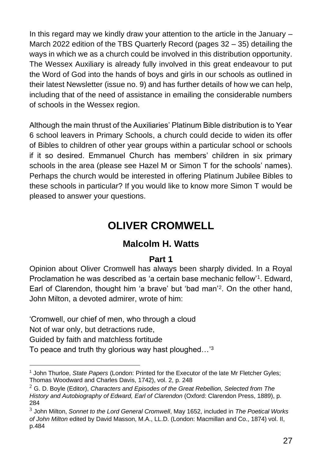In this regard may we kindly draw your attention to the article in the January – March 2022 edition of the TBS Quarterly Record (pages 32 – 35) detailing the ways in which we as a church could be involved in this distribution opportunity. The Wessex Auxiliary is already fully involved in this great endeavour to put the Word of God into the hands of boys and girls in our schools as outlined in their latest Newsletter (issue no. 9) and has further details of how we can help, including that of the need of assistance in emailing the considerable numbers of schools in the Wessex region.

Although the main thrust of the Auxiliaries' Platinum Bible distribution is to Year 6 school leavers in Primary Schools, a church could decide to widen its offer of Bibles to children of other year groups within a particular school or schools if it so desired. Emmanuel Church has members' children in six primary schools in the area (please see Hazel M or Simon T for the schools' names). Perhaps the church would be interested in offering Platinum Jubilee Bibles to these schools in particular? If you would like to know more Simon T would be pleased to answer your questions.

### **OLIVER CROMWELL**

### **Malcolm H. Watts**

### **Part 1**

Opinion about Oliver Cromwell has always been sharply divided. In a Royal Proclamation he was described as 'a certain base mechanic fellow'<sup>1</sup>. Edward, Earl of Clarendon, thought him 'a brave' but 'bad man'<sup>2</sup> . On the other hand, John Milton, a devoted admirer, wrote of him:

'Cromwell, our chief of men, who through a cloud

Not of war only, but detractions rude,

Guided by faith and matchless fortitude

To peace and truth thy glorious way hast ploughed...<sup>'3</sup>

<sup>1</sup> John Thurloe, *State Papers* (London: Printed for the Executor of the late Mr Fletcher Gyles; Thomas Woodward and Charles Davis, 1742), vol. 2, p. 248

<sup>2</sup> G. D. Boyle (Editor), *Characters and Episodes of the Great Rebellion, Selected from The History and Autobiography of Edward, Earl of Clarendon* (Oxford: Clarendon Press, 1889), p. 284

<sup>3</sup> John Milton, *Sonnet to the Lord General Cromwell*, May 1652, included in *The Poetical Works of John Milton* edited by David Masson, M.A., LL.D. (London: Macmillan and Co., 1874) vol. II, p.484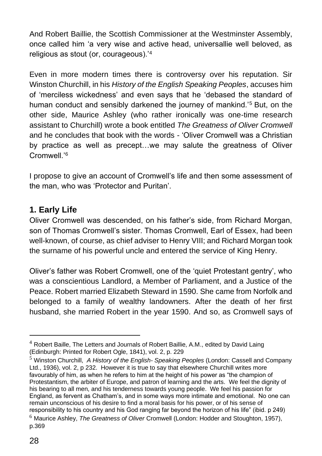And Robert Baillie, the Scottish Commissioner at the Westminster Assembly, once called him 'a very wise and active head, universallie well beloved, as religious as stout (or, courageous).'<sup>4</sup>

Even in more modern times there is controversy over his reputation. Sir Winston Churchill, in his *History of the English Speaking Peoples*, accuses him of 'merciless wickedness' and even says that he 'debased the standard of human conduct and sensibly darkened the journey of mankind.'<sup>5</sup> But, on the other side, Maurice Ashley (who rather ironically was one-time research assistant to Churchill) wrote a book entitled *The Greatness of Oliver Cromwell* and he concludes that book with the words - 'Oliver Cromwell was a Christian by practice as well as precept…we may salute the greatness of Oliver Cromwell<sup>'6</sup>

I propose to give an account of Cromwell's life and then some assessment of the man, who was 'Protector and Puritan'.

### **1. Early Life**

Oliver Cromwell was descended, on his father's side, from Richard Morgan, son of Thomas Cromwell's sister. Thomas Cromwell, Earl of Essex, had been well-known, of course, as chief adviser to Henry VIII; and Richard Morgan took the surname of his powerful uncle and entered the service of King Henry.

Oliver's father was Robert Cromwell, one of the 'quiet Protestant gentry', who was a conscientious Landlord, a Member of Parliament, and a Justice of the Peace. Robert married Elizabeth Steward in 1590. She came from Norfolk and belonged to a family of wealthy landowners. After the death of her first husband, she married Robert in the year 1590. And so, as Cromwell says of

 $4$  Robert Baille, The Letters and Journals of Robert Baillie, A.M., edited by David Laing (Edinburgh: Printed for Robert Ogle, 1841), vol. 2, p. 229

<sup>5</sup> Winston Churchill, *A History of the English- Speaking Peoples* (London: Cassell and Company Ltd., 1936), vol. 2, p 232. However it is true to say that elsewhere Churchill writes more favourably of him, as when he refers to him at the height of his power as "the champion of Protestantism, the arbiter of Europe, and patron of learning and the arts. We feel the dignity of his bearing to all men, and his tenderness towards young people. We feel his passion for England, as fervent as Chatham's, and in some ways more intimate and emotional. No one can remain unconscious of his desire to find a moral basis for his power, or of his sense of responsibility to his country and his God ranging far beyond the horizon of his life" (ibid. p 249)

<sup>6</sup> Maurice Ashley, *The Greatness of Oliver* Cromwell (London: Hodder and Stoughton, 1957), p.369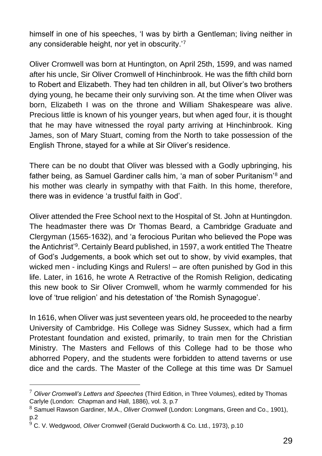himself in one of his speeches, 'I was by birth a Gentleman; living neither in any considerable height, nor yet in obscurity.'<sup>7</sup>

Oliver Cromwell was born at Huntington, on April 25th, 1599, and was named after his uncle, Sir Oliver Cromwell of Hinchinbrook. He was the fifth child born to Robert and Elizabeth. They had ten children in all, but Oliver's two brothers dying young, he became their only surviving son. At the time when Oliver was born, Elizabeth I was on the throne and William Shakespeare was alive. Precious little is known of his younger years, but when aged four, it is thought that he may have witnessed the royal party arriving at Hinchinbrook. King James, son of Mary Stuart, coming from the North to take possession of the English Throne, stayed for a while at Sir Oliver's residence.

There can be no doubt that Oliver was blessed with a Godly upbringing, his father being, as Samuel Gardiner calls him, 'a man of sober Puritanism'<sup>8</sup> and his mother was clearly in sympathy with that Faith. In this home, therefore, there was in evidence 'a trustful faith in God'.

Oliver attended the Free School next to the Hospital of St. John at Huntingdon. The headmaster there was Dr Thomas Beard, a Cambridge Graduate and Clergyman (1565-1632), and 'a ferocious Puritan who believed the Pope was the Antichrist'<sup>9</sup> . Certainly Beard published, in 1597, a work entitled The Theatre of God's Judgements, a book which set out to show, by vivid examples, that wicked men - including Kings and Rulers! – are often punished by God in this life. Later, in 1616, he wrote A Retractive of the Romish Religion, dedicating this new book to Sir Oliver Cromwell, whom he warmly commended for his love of 'true religion' and his detestation of 'the Romish Synagogue'.

In 1616, when Oliver was just seventeen years old, he proceeded to the nearby University of Cambridge. His College was Sidney Sussex, which had a firm Protestant foundation and existed, primarily, to train men for the Christian Ministry. The Masters and Fellows of this College had to be those who abhorred Popery, and the students were forbidden to attend taverns or use dice and the cards. The Master of the College at this time was Dr Samuel

<sup>7</sup> *Oliver Cromwell's Letters and Speeches* (Third Edition, in Three Volumes), edited by Thomas Carlyle (London: Chapman and Hall, 1886), vol. 3, p.7

<sup>8</sup> Samuel Rawson Gardiner, M.A., *Oliver Cromwell* (London: Longmans, Green and Co., 1901), p.2

<sup>9</sup> C. V. Wedgwood, *Oliver* Cromwe*ll* (Gerald Duckworth & Co. Ltd., 1973), p.10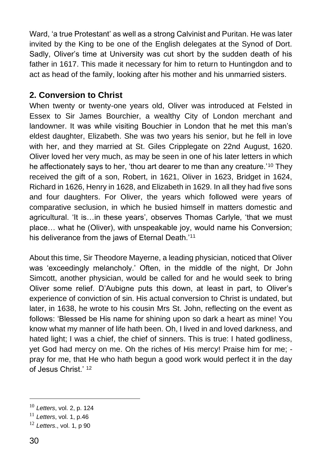Ward, 'a true Protestant' as well as a strong Calvinist and Puritan. He was later invited by the King to be one of the English delegates at the Synod of Dort. Sadly, Oliver's time at University was cut short by the sudden death of his father in 1617. This made it necessary for him to return to Huntingdon and to act as head of the family, looking after his mother and his unmarried sisters.

### **2. Conversion to Christ**

When twenty or twenty-one years old, Oliver was introduced at Felsted in Essex to Sir James Bourchier, a wealthy City of London merchant and landowner. It was while visiting Bouchier in London that he met this man's eldest daughter, Elizabeth. She was two years his senior, but he fell in love with her, and they married at St. Giles Cripplegate on 22nd August, 1620. Oliver loved her very much, as may be seen in one of his later letters in which he affectionately says to her, 'thou art dearer to me than any creature.'<sup>10</sup> They received the gift of a son, Robert, in 1621, Oliver in 1623, Bridget in 1624, Richard in 1626, Henry in 1628, and Elizabeth in 1629. In all they had five sons and four daughters. For Oliver, the years which followed were years of comparative seclusion, in which he busied himself in matters domestic and agricultural. 'It is…in these years', observes Thomas Carlyle, 'that we must place… what he (Oliver), with unspeakable joy, would name his Conversion; his deliverance from the jaws of Eternal Death.'<sup>11</sup>

About this time, Sir Theodore Mayerne, a leading physician, noticed that Oliver was 'exceedingly melancholy.' Often, in the middle of the night, Dr John Simcott, another physician, would be called for and he would seek to bring Oliver some relief. D'Aubigne puts this down, at least in part, to Oliver's experience of conviction of sin. His actual conversion to Christ is undated, but later, in 1638, he wrote to his cousin Mrs St. John, reflecting on the event as follows: 'Blessed be His name for shining upon so dark a heart as mine! You know what my manner of life hath been. Oh, I lived in and loved darkness, and hated light; I was a chief, the chief of sinners. This is true: I hated godliness, yet God had mercy on me. Oh the riches of His mercy! Praise him for me; pray for me, that He who hath begun a good work would perfect it in the day of Jesus Christ.' <sup>12</sup>

<sup>10</sup> *Letters*, vol. 2, p. 124

<sup>11</sup> *Letters*, vol. 1, p.46

<sup>12</sup> *Letters*., vol. 1, p 90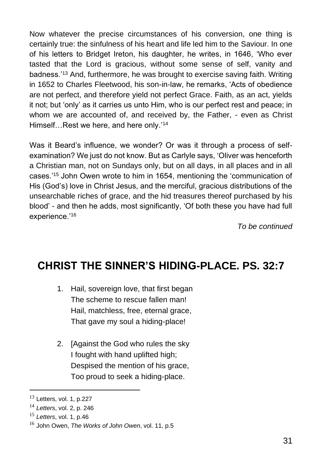Now whatever the precise circumstances of his conversion, one thing is certainly true: the sinfulness of his heart and life led him to the Saviour. In one of his letters to Bridget Ireton, his daughter, he writes, in 1646, 'Who ever tasted that the Lord is gracious, without some sense of self, vanity and badness.'<sup>13</sup> And, furthermore, he was brought to exercise saving faith. Writing in 1652 to Charles Fleetwood, his son-in-law, he remarks, 'Acts of obedience are not perfect, and therefore yield not perfect Grace. Faith, as an act, yields it not; but 'only' as it carries us unto Him, who is our perfect rest and peace; in whom we are accounted of, and received by, the Father, - even as Christ Himself…Rest we here, and here only.'<sup>14</sup>

Was it Beard's influence, we wonder? Or was it through a process of selfexamination? We just do not know. But as Carlyle says, 'Oliver was henceforth a Christian man, not on Sundays only, but on all days, in all places and in all cases.'<sup>15</sup> John Owen wrote to him in 1654, mentioning the 'communication of His (God's) love in Christ Jesus, and the merciful, gracious distributions of the unsearchable riches of grace, and the hid treasures thereof purchased by his blood' - and then he adds, most significantly, 'Of both these you have had full experience.'<sup>16</sup>

*To be continued*

## **CHRIST THE SINNER'S HIDING-PLACE. PS. 32:7**

- 1. Hail, sovereign love, that first began The scheme to rescue fallen man! Hail, matchless, free, eternal grace, That gave my soul a hiding-place!
- 2. [Against the God who rules the sky I fought with hand uplifted high; Despised the mention of his grace, Too proud to seek a hiding-place.

 $13$  Letters, vol. 1, p.227

<sup>14</sup> *Letters*, vol. 2, p. 246

<sup>15</sup> *Letters*, vol. 1, p.46

<sup>16</sup> John Owen, *The Works of John Owen*, vol. 11, p.5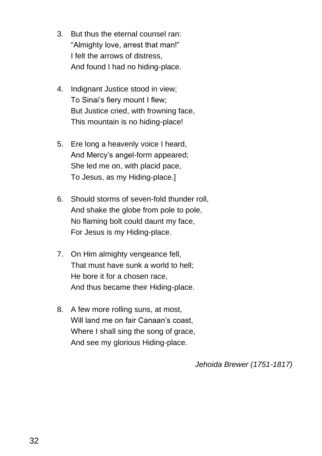- 3. But thus the eternal counsel ran: "Almighty love, arrest that man!" I felt the arrows of distress, And found I had no hiding-place.
- 4. Indignant Justice stood in view; To Sinai's fiery mount I flew; But Justice cried, with frowning face, This mountain is no hiding-place!
- 5. Ere long a heavenly voice I heard, And Mercy's angel-form appeared; She led me on, with placid pace, To Jesus, as my Hiding-place.]
- 6. Should storms of seven-fold thunder roll, And shake the globe from pole to pole, No flaming bolt could daunt my face, For Jesus is my Hiding-place.
- 7. On Him almighty vengeance fell, That must have sunk a world to hell; He bore it for a chosen race, And thus became their Hiding-place.
- 8. A few more rolling suns, at most, Will land me on fair Canaan's coast. Where I shall sing the song of grace, And see my glorious Hiding-place.

*Jehoida Brewer (1751-1817)*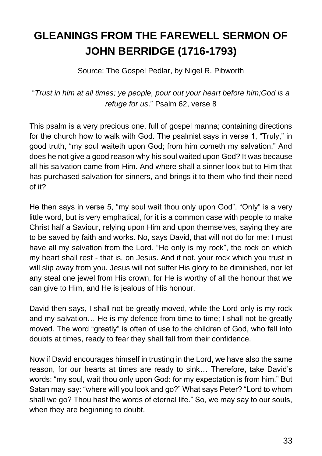# **GLEANINGS FROM THE FAREWELL SERMON OF JOHN BERRIDGE (1716-1793)**

Source: The Gospel Pedlar, by Nigel R. Pibworth

"*Trust in him at all times; ye people, pour out your heart before him;God is a refuge for us*." Psalm 62, verse 8

This psalm is a very precious one, full of gospel manna; containing directions for the church how to walk with God. The psalmist says in verse 1, "Truly," in good truth, "my soul waiteth upon God; from him cometh my salvation." And does he not give a good reason why his soul waited upon God? It was because all his salvation came from Him. And where shall a sinner look but to Him that has purchased salvation for sinners, and brings it to them who find their need of it?

He then says in verse 5, "my soul wait thou only upon God". "Only" is a very little word, but is very emphatical, for it is a common case with people to make Christ half a Saviour, relying upon Him and upon themselves, saying they are to be saved by faith and works. No, says David, that will not do for me: I must have all my salvation from the Lord. "He only is my rock", the rock on which my heart shall rest - that is, on Jesus. And if not, your rock which you trust in will slip away from you. Jesus will not suffer His glory to be diminished, nor let any steal one jewel from His crown, for He is worthy of all the honour that we can give to Him, and He is jealous of His honour.

David then says, I shall not be greatly moved, while the Lord only is my rock and my salvation… He is my defence from time to time; I shall not be greatly moved. The word "greatly" is often of use to the children of God, who fall into doubts at times, ready to fear they shall fall from their confidence.

Now if David encourages himself in trusting in the Lord, we have also the same reason, for our hearts at times are ready to sink… Therefore, take David's words: "my soul, wait thou only upon God: for my expectation is from him." But Satan may say: "where will you look and go?" What says Peter? "Lord to whom shall we go? Thou hast the words of eternal life." So, we may say to our souls, when they are beginning to doubt.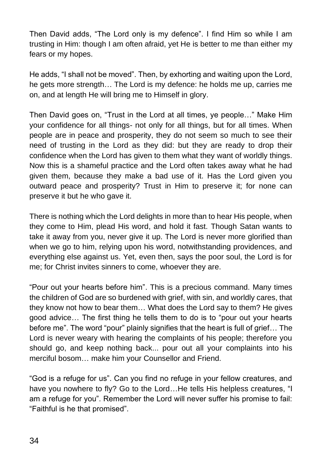Then David adds, "The Lord only is my defence". I find Him so while I am trusting in Him: though I am often afraid, yet He is better to me than either my fears or my hopes.

He adds, "I shall not be moved". Then, by exhorting and waiting upon the Lord, he gets more strength… The Lord is my defence: he holds me up, carries me on, and at length He will bring me to Himself in glory.

Then David goes on, "Trust in the Lord at all times, ye people…" Make Him your confidence for all things- not only for all things, but for all times. When people are in peace and prosperity, they do not seem so much to see their need of trusting in the Lord as they did: but they are ready to drop their confidence when the Lord has given to them what they want of worldly things. Now this is a shameful practice and the Lord often takes away what he had given them, because they make a bad use of it. Has the Lord given you outward peace and prosperity? Trust in Him to preserve it; for none can preserve it but he who gave it.

There is nothing which the Lord delights in more than to hear His people, when they come to Him, plead His word, and hold it fast. Though Satan wants to take it away from you, never give it up. The Lord is never more glorified than when we go to him, relying upon his word, notwithstanding providences, and everything else against us. Yet, even then, says the poor soul, the Lord is for me; for Christ invites sinners to come, whoever they are.

"Pour out your hearts before him". This is a precious command. Many times the children of God are so burdened with grief, with sin, and worldly cares, that they know not how to bear them… What does the Lord say to them? He gives good advice… The first thing he tells them to do is to "pour out your hearts before me". The word "pour" plainly signifies that the heart is full of grief… The Lord is never weary with hearing the complaints of his people; therefore you should go, and keep nothing back... pour out all your complaints into his merciful bosom… make him your Counsellor and Friend.

"God is a refuge for us". Can you find no refuge in your fellow creatures, and have you nowhere to fly? Go to the Lord...He tells His helpless creatures, "I am a refuge for you". Remember the Lord will never suffer his promise to fail: "Faithful is he that promised".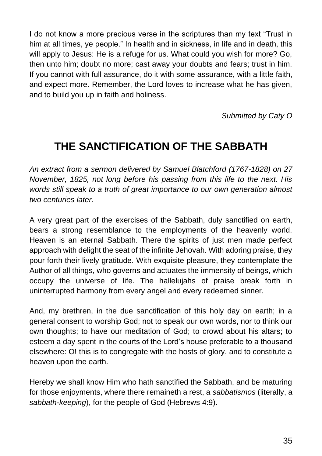I do not know a more precious verse in the scriptures than my text "Trust in him at all times, ye people." In health and in sickness, in life and in death, this will apply to Jesus: He is a refuge for us. What could you wish for more? Go, then unto him; doubt no more; cast away your doubts and fears; trust in him. If you cannot with full assurance, do it with some assurance, with a little faith, and expect more. Remember, the Lord loves to increase what he has given, and to build you up in faith and holiness.

*Submitted by Caty O*

## **THE SANCTIFICATION OF THE SABBATH**

*An extract from a sermon delivered by Samuel Blatchford (1767-1828) on 27 November, 1825, not long before his passing from this life to the next. His words still speak to a truth of great importance to our own generation almost two centuries later.* 

A very great part of the exercises of the Sabbath, duly sanctified on earth, bears a strong resemblance to the employments of the heavenly world. Heaven is an eternal Sabbath. There the spirits of just men made perfect approach with delight the seat of the infinite Jehovah. With adoring praise, they pour forth their lively gratitude. With exquisite pleasure, they contemplate the Author of all things, who governs and actuates the immensity of beings, which occupy the universe of life. The hallelujahs of praise break forth in uninterrupted harmony from every angel and every redeemed sinner.

And, my brethren, in the due sanctification of this holy day on earth; in a general consent to worship God; not to speak our own words, nor to think our own thoughts; to have our meditation of God; to crowd about his altars; to esteem a day spent in the courts of the Lord's house preferable to a thousand elsewhere: O! this is to congregate with the hosts of glory, and to constitute a heaven upon the earth.

Hereby we shall know Him who hath sanctified the Sabbath, and be maturing for those enjoyments, where there remaineth a rest, a *sabbatismos* (literally, a *sabbath-keeping*), for the people of God (Hebrews 4:9).